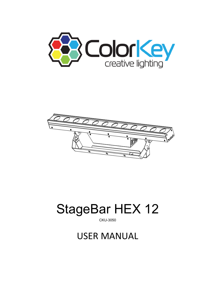



# **StageBar HEX 12**

**CKU-3050** 

# **USER MANUAL**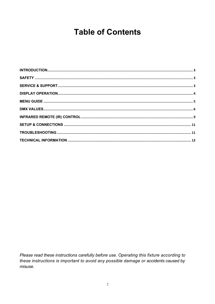### **Table of Contents**

Please read these instructions carefully before use. Operating this fixture according to these instructions is important to avoid any possible damage or accidents caused by misuse.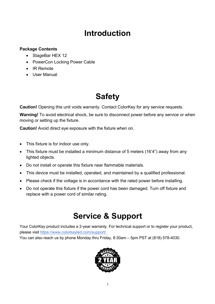### **Introduction**

### **Package Contents**

- StageBar HEX 12
- PowerCon Locking Power Cable
- IR Remote
- User Manual

# **Safety**

**Caution!** Opening this unit voids warranty. Contact ColorKey for any service requests.

**Warning!** To avoid electrical shock, be sure to disconnect power before any service or when moving or setting up the fixture.

**Caution!** Avoid direct eye exposure with the fixture when on.

- This fixture is for indoor use only.
- This fixture must be installed a minimum distance of 5 meters (16'4") away from any lighted objects.
- Do not install or operate this fixture near flammable materials.
- This device must be installed, operated, and maintained by a qualified professional.
- Please check if the voltage is in accordance with the rated power before installing.
- Do not operate this fixture if the power cord has been damaged. Turn off fixture and replace with a power cord of similar rating.

### **Service & Support**

Your ColorKey product includes a 2-year warranty. For technical support or to register your product, please visit https://www.colorkeyled.com/support/

You can also reach us by phone Monday thru Friday, 8:30am – 5pm PST at (818) 578-4030.

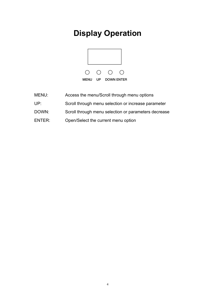# **Display Operation**



- MENU: Access the menu/Scroll through menu options
- UP: Scroll through menu selection or increase parameter
- DOWN: Scroll through menu selection or parameters decrease
- ENTER: Open/Select the current menu option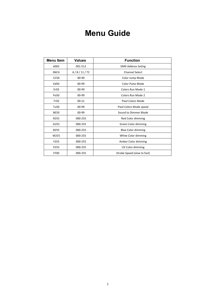### **Menu Guide**

| <b>Menu Item</b> | <b>Values</b> | <b>Function</b>             |
|------------------|---------------|-----------------------------|
| A001             | 001-512       | <b>DMX Address Seting</b>   |
| 06CH             | 6/8/11/72     | <b>Channel Select</b>       |
| <b>CC50</b>      | 00-99         | Color Jump Mode             |
| Ed50             | 00-99         | Color Pulse Mode            |
| Er50             | 00-99         | Colors Run Mode 1           |
| Po <sub>50</sub> | 00-99         | Colors Run Mode 2           |
| <b>Tr50</b>      | $00 - 21$     | <b>Pixel Colors Mode</b>    |
| Tu <sub>50</sub> | 00-99         | Pixel Colors Mode speed     |
| <b>BE50</b>      | $00 - 99$     | Sound to Dimmer Mode        |
| R255             | 000-255       | Red Color dimming           |
| G255             | 000-255       | Green Color dimming         |
| <b>B255</b>      | 000-255       | <b>Blue Color dimming</b>   |
| W255             | 000-255       | White Color dimming         |
| Y255             | 000-255       | Amber Color dimming         |
| P255             | 000-255       | UV Color dimming            |
| ST <sub>00</sub> | 000-255       | Strobe Speed (slow to fast) |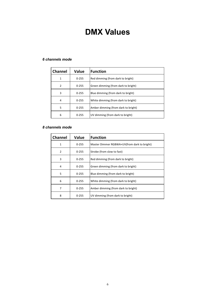### **DMX Values**

#### *channels mode*

| Channel        | Value     | <b>Function</b>                     |
|----------------|-----------|-------------------------------------|
| 1              | $0 - 255$ | Red dimming (from dark to bright)   |
| $\overline{2}$ | $0 - 255$ | Green dimming (from dark to bright) |
| 3              | $0 - 255$ | Blue dimming (from dark to bright)  |
| 4              | $0 - 255$ | White dimming (from dark to bright) |
| 5              | $0 - 255$ | Amber dimming (from dark to bright) |
| 6              | $0 - 255$ | UV dimming (from dark to bright)    |

#### *channels mode*

| <b>Channel</b> | Value     | <b>Function</b>                             |
|----------------|-----------|---------------------------------------------|
| 1              | $0 - 255$ | Master Dimmer RGBWA+UV(from dark to bright) |
| 2              | $0 - 255$ | Strobe (from slow to fast)                  |
| 3              | $0 - 255$ | Red dimming (from dark to bright)           |
| 4              | $0 - 255$ | Green dimming (from dark to bright)         |
| 5              | $0 - 255$ | Blue dimming (from dark to bright)          |
| 6              | $0 - 255$ | White dimming (from dark to bright)         |
| 7              | $0 - 255$ | Amber dimming (from dark to bright)         |
| 8              | $0 - 255$ | UV dimming (from dark to bright)            |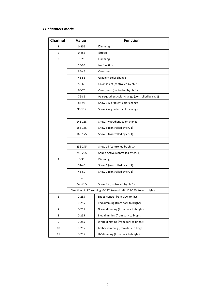#### *11 channels mode*

| <b>Channel</b> | Value     | <b>Function</b>                                                      |
|----------------|-----------|----------------------------------------------------------------------|
| 1              | 0-255     | Dimming                                                              |
| 2              | $0 - 255$ | Strobe                                                               |
| 3              | $0 - 25$  | Dimming                                                              |
|                | 26-35     | No function                                                          |
|                | 36-45     | Color jump                                                           |
|                | 46-55     | Gradient color change                                                |
|                | 56-65     | Color select (controlled by ch. 1)                                   |
|                | 66-75     | Color jump (controlled by ch. 1)                                     |
|                | 76-85     | Pulse/gradient color change (controlled by ch. 1)                    |
|                | 86-95     | Show 1 w gradient color change                                       |
|                | 96-105    | Show 2 w gradient color change                                       |
|                |           |                                                                      |
|                | 146-155   | Show7 w gradient color change                                        |
|                | 156-165   | Show 8 (controlled by ch. 1)                                         |
|                | 166-175   | Show 9 (controlled by ch. 1)                                         |
|                |           |                                                                      |
|                | 236-245   | Show 15 (controlled by ch. 1)                                        |
|                | 246-255   | Sound Active (controlled by ch. 1)                                   |
| 4              | $0 - 30$  | Dimming                                                              |
|                | 31-45     | Show 1 (controlled by ch. 1)                                         |
|                | 46-60     | Show 2 (controlled by ch. 1)                                         |
|                |           |                                                                      |
|                | 240-255   | Show 15 (controlled by ch. 1)                                        |
|                |           | Direction of LED running (0-127, toward left, 128-255, toward right) |
| 5              | $0 - 255$ | Speed control from slow to fast                                      |
| 6              | $0 - 255$ | Red dimming (from dark to bright)                                    |
| 7              | $0 - 255$ | Green dimming (from dark to bright)                                  |
| 8              | $0 - 255$ | Blue dimming (from dark to bright)                                   |
| 9              | $0 - 255$ | White dimming (from dark to bright)                                  |
| 10             | $0 - 255$ | Amber dimming (from dark to bright)                                  |
| 11             | $0 - 255$ | UV dimming (from dark to bright)                                     |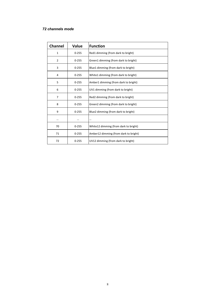#### *channels mode*

| <b>Channel</b> | Value     | <b>Function</b>                        |
|----------------|-----------|----------------------------------------|
| $\mathbf{1}$   | $0 - 255$ | Red1 dimming (from dark to bright)     |
| 2              | $0 - 255$ | Green1 dimming (from dark to bright)   |
| 3              | $0 - 255$ | Blue1 dimming (from dark to bright)    |
| 4              | $0 - 255$ | White1 dimming (from dark to bright)   |
| 5              | $0 - 255$ | Amber1 dimming (from dark to bright)   |
| 6              | $0 - 255$ | UV1 dimming (from dark to bright)      |
| 7              | $0 - 255$ | Red2 dimming (from dark to bright)     |
| 8              | $0 - 255$ | Green2 dimming (from dark to bright)   |
| 9              | $0 - 255$ | Blue2 dimming (from dark to bright)    |
|                |           |                                        |
| 70             | $0 - 255$ | White 12 dimming (from dark to bright) |
| 71             | $0 - 255$ | Amber12 dimming (from dark to bright)  |
| 72             | $0 - 255$ | UV12 dimming (from dark to bright)     |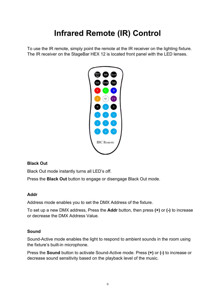# **Infrared Remote (IR) Control**

To use the IR remote, simply point the remote at the IR receiver on the lighting fixture. The IR receiver on the StageBar HEX 12 is located front panel with the LED lenses.



### **Black Out**

Black Out mode instantly turns all LED's off.

Press the **Black Out** button to engage or disengage Black Out mode.

#### **Addr**

Address mode enables you to set the DMX Address of the fixture.

To set up a new DMX address, Press the **Addr** button, then press **(+)** or **(-)** to increase or decrease the DMX Address Value.

### **Sound**

Sound-Active mode enables the light to respond to ambient sounds in the room using the fixture's built-in microphone.

Press the **Sound** button to activate Sound-Active mode. Press **(+)** or **(-)** to increase or decrease sound sensitivity based on the playback level of the music.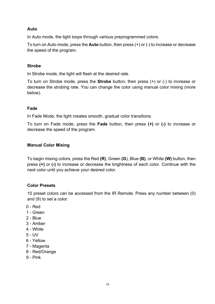#### **Auto**

In Auto mode, the light loops through various preprogrammed colors.

To turn on Auto mode, press the **Auto** button, then press (+) or (-) to increase or decrease the speed of the program.

#### **Strobe**

In Strobe mode, the light will flash at the desired rate.

To turn on Strobe mode, press the **Strobe** button, then press (+) or (-) to increase or decrease the strobing rate. You can change the color using manual color mixing (more below).

#### **Fade**

In Fade Mode, the light creates smooth, gradual color transitions.

To turn on Fade mode, press the **Fade** button, then press **(+)** or **(-)** to increase or decrease the speed of the program.

#### **Manual Color Mixing**

To begin mixing colors, press the Red **(R)**, Green **(G**), Blue **(B)**, or White **(W)** button, then press **(+)** or **(-)** to increase or decrease the brightness of each color. Continue with the next color until you achieve your desired color.

#### **Color Presets**

10 preset colors can be accessed from the IR Remote. Press any number between (0) and (9) to set a color.

- 0 Red
- 1 Green
- 2 Blue
- 3 Amber
- 4 White
- 5 UV
- 6 Yellow
- 7 Magenta
- 8 Red/Orange
- 9 Pink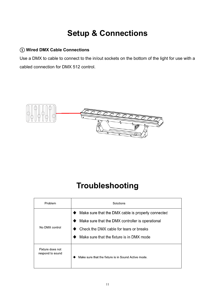# **Setup & Connections**

### ① **Wired DMX Cable Connections**

Use a DMX to cable to connect to the in/out sockets on the bottom of the light for use with a cabled connection for DMX 512 control.



### **Troubleshooting**

| Problem                              | Solutions                                                                                                                                                                                      |
|--------------------------------------|------------------------------------------------------------------------------------------------------------------------------------------------------------------------------------------------|
| No DMX control                       | Make sure that the DMX cable is properly connected<br>Make sure that the DMX controller is operational<br>Check the DMX cable for tears or breaks<br>Make sure that the fixture is in DMX mode |
| Fixture does not<br>respond to sound | Make sure that the fixture is in Sound Active mode.                                                                                                                                            |